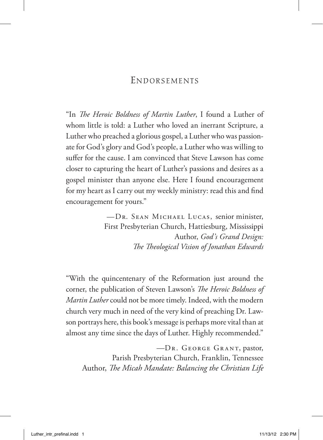#### ENDORSEMENTS

"In *The Heroic Boldness of Martin Luther*, I found a Luther of whom little is told: a Luther who loved an inerrant Scripture, a Luther who preached a glorious gospel, a Luther who was passionate for God's glory and God's people, a Luther who was willing to suffer for the cause. I am convinced that Steve Lawson has come closer to capturing the heart of Luther's passions and desires as a gospel minister than anyone else. Here I found encouragement for my heart as I carry out my weekly ministry: read this and find encouragement for yours."

> —Dr. Sean Michael Lucas, senior minister, First Presbyterian Church, Hattiesburg, Mississippi Author, *God's Grand Design: The Theological Vision of Jonathan Edwards*

"With the quincentenary of the Reformation just around the corner, the publication of Steven Lawson's *The Heroic Boldness of Martin Luther* could not be more timely. Indeed, with the modern church very much in need of the very kind of preaching Dr. Lawson portrays here, this book's message is perhaps more vital than at almost any time since the days of Luther. Highly recommended."

—Dr. George Grant, pastor, Parish Presbyterian Church, Franklin, Tennessee Author, *The Micah Mandate: Balancing the Christian Life*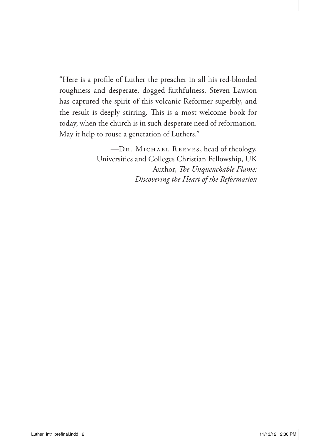"Here is a profile of Luther the preacher in all his red-blooded roughness and desperate, dogged faithfulness. Steven Lawson has captured the spirit of this volcanic Reformer superbly, and the result is deeply stirring. This is a most welcome book for today, when the church is in such desperate need of reformation. May it help to rouse a generation of Luthers."

> —Dr. Michael Reeves, head of theology, Universities and Colleges Christian Fellowship, UK Author, *The Unquenchable Flame: Discovering the Heart of the Reformation*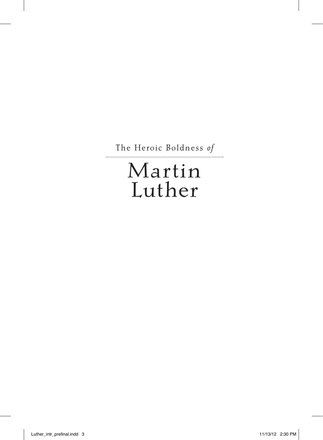The Heroic Boldness *of*

# Martin Luther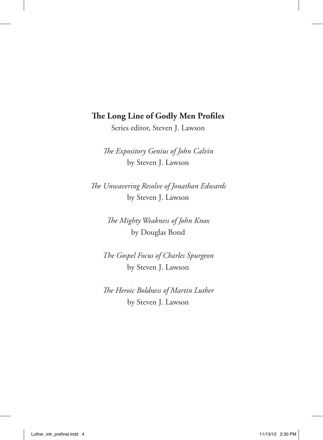#### **The Long Line of Godly Men Profiles**

Series editor, Steven J. Lawson

*The Expository Genius of John Calvin* by Steven J. Lawson

*The Unwavering Resolve of Jonathan Edwards* by Steven J. Lawson

> *The Mighty Weakness of John Knox* by Douglas Bond

*The Gospel Focus of Charles Spurgeon* by Steven J. Lawson

*The Heroic Boldness of Martin Luther* by Steven J. Lawson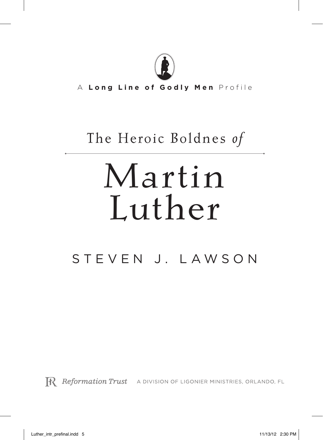

A **Long Line of Godly Men** Profile

# The Heroic Boldnes *of*

# Martin Luther

# STEVEN J. LAWSON



R Reformation Trust A DIVISION OF LIGONIER MINISTRIES, ORLANDO, FL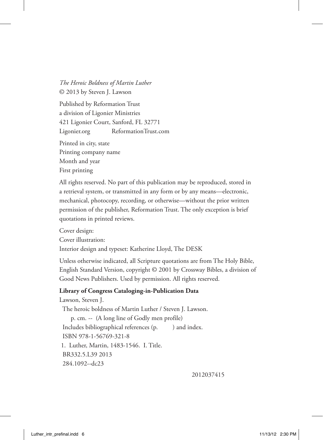*The Heroic Boldness of Martin Luther* © 2013 by Steven J. Lawson

Published by Reformation Trust a division of Ligonier Ministries 421 Ligonier Court, Sanford, FL 32771 Ligonier.org ReformationTrust.com

Printed in city, state Printing company name Month and year First printing

All rights reserved. No part of this publication may be reproduced, stored in a retrieval system, or transmitted in any form or by any means—electronic, mechanical, photocopy, recording, or otherwise—without the prior written permission of the publisher, Reformation Trust. The only exception is brief quotations in printed reviews.

Cover design: Cover illustration: Interior design and typeset: Katherine Lloyd, The DESK

Unless otherwise indicated, all Scripture quotations are from The Holy Bible, English Standard Version, copyright © 2001 by Crossway Bibles, a division of Good News Publishers. Used by permission. All rights reserved.

#### **Library of Congress Cataloging-in-Publication Data**

Lawson, Steven J. The heroic boldness of Martin Luther / Steven J. Lawson. p. cm. -- (A long line of Godly men profile) Includes bibliographical references (p. ) and index. ISBN 978-1-56769-321-8 1. Luther, Martin, 1483-1546. I. Title. BR332.5.L39 2013 284.1092--dc23

2012037415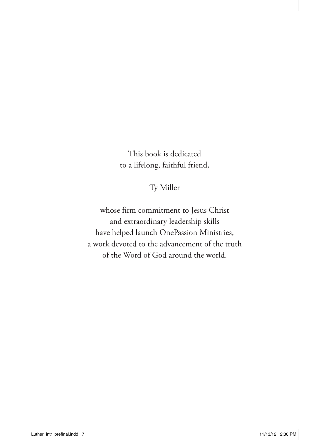This book is dedicated to a lifelong, faithful friend,

Ty Miller

whose firm commitment to Jesus Christ and extraordinary leadership skills have helped launch OnePassion Ministries, a work devoted to the advancement of the truth of the Word of God around the world.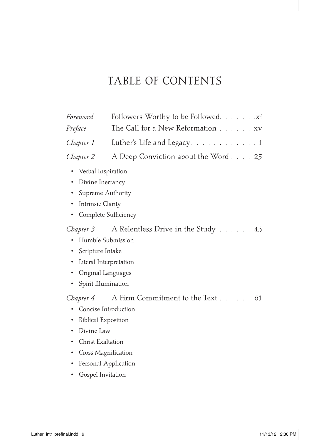# TABLE OF CONTENTS

| Foreword  | Followers Worthy to be Followed. xi |
|-----------|-------------------------------------|
| Preface   | The Call for a New Reformation xv   |
| Chapter 1 | Luther's Life and Legacy. 1         |
| Chapter 2 | A Deep Conviction about the Word 25 |

- • Verbal Inspiration
- Divine Inerrancy
- • Supreme Authority
- Intrinsic Clarity
- • Complete Sufficiency

#### *Chapter 3* A Relentless Drive in the Study . . . . . . 43

- • Humble Submission
- • Scripture Intake
- • Literal Interpretation
- • Original Languages
- • Spirit Illumination

*Chapter 4* A Firm Commitment to the Text . . . . . . 61

- • Concise Introduction
- • Biblical Exposition
- • Divine Law
- • Christ Exaltation
- • Cross Magnification
- Personal Application
- • Gospel Invitation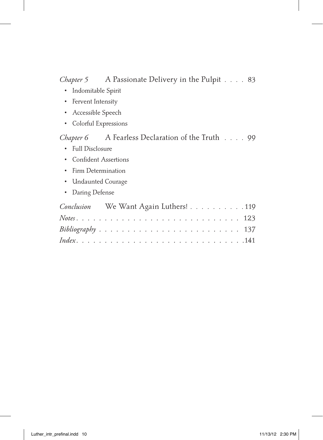#### *Chapter 5* A Passionate Delivery in the Pulpit . . . . 83

- • Indomitable Spirit
- Fervent Intensity
- • Accessible Speech
- • Colorful Expressions

*Chapter 6* A Fearless Declaration of the Truth . . . . 99

- Full Disclosure
- • Confident Assertions
- • Firm Determination
- • Undaunted Courage
- Daring Defense

| Conclusion We Want Again Luthers! 119                                                            |  |  |  |  |  |  |  |  |  |  |  |  |  |
|--------------------------------------------------------------------------------------------------|--|--|--|--|--|--|--|--|--|--|--|--|--|
| $Notes. \ldots \ldots \ldots \ldots \ldots \ldots \ldots \ldots \ldots \ldots \ldots \ldots 123$ |  |  |  |  |  |  |  |  |  |  |  |  |  |
| $Bibliography \ldots \ldots \ldots \ldots \ldots \ldots \ldots \ldots \ldots \ldots 137$         |  |  |  |  |  |  |  |  |  |  |  |  |  |
|                                                                                                  |  |  |  |  |  |  |  |  |  |  |  |  |  |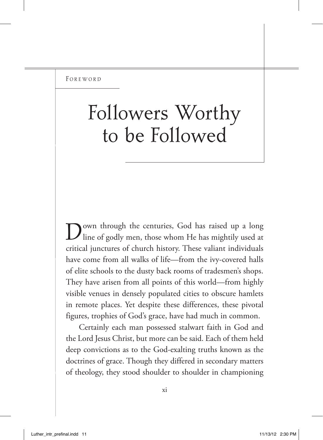**FOREWORD** 

# Followers Worthy to be Followed

Down through the centuries, God has raised up a long line of godly men, those whom He has mightily used at critical junctures of church history. These valiant individuals have come from all walks of life—from the ivy-covered halls of elite schools to the dusty back rooms of tradesmen's shops. They have arisen from all points of this world—from highly visible venues in densely populated cities to obscure hamlets in remote places. Yet despite these differences, these pivotal figures, trophies of God's grace, have had much in common.

Certainly each man possessed stalwart faith in God and the Lord Jesus Christ, but more can be said. Each of them held deep convictions as to the God-exalting truths known as the doctrines of grace. Though they differed in secondary matters of theology, they stood shoulder to shoulder in championing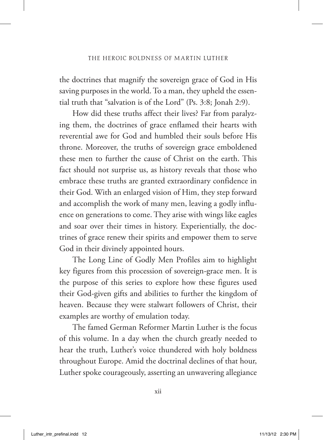the doctrines that magnify the sovereign grace of God in His saving purposes in the world. To a man, they upheld the essential truth that "salvation is of the Lord" (Ps. 3:8; Jonah 2:9).

How did these truths affect their lives? Far from paralyzing them, the doctrines of grace enflamed their hearts with reverential awe for God and humbled their souls before His throne. Moreover, the truths of sovereign grace emboldened these men to further the cause of Christ on the earth. This fact should not surprise us, as history reveals that those who embrace these truths are granted extraordinary confidence in their God. With an enlarged vision of Him, they step forward and accomplish the work of many men, leaving a godly influence on generations to come. They arise with wings like eagles and soar over their times in history. Experientially, the doctrines of grace renew their spirits and empower them to serve God in their divinely appointed hours.

The Long Line of Godly Men Profiles aim to highlight key figures from this procession of sovereign-grace men. It is the purpose of this series to explore how these figures used their God-given gifts and abilities to further the kingdom of heaven. Because they were stalwart followers of Christ, their examples are worthy of emulation today.

The famed German Reformer Martin Luther is the focus of this volume. In a day when the church greatly needed to hear the truth, Luther's voice thundered with holy boldness throughout Europe. Amid the doctrinal declines of that hour, Luther spoke courageously, asserting an unwavering allegiance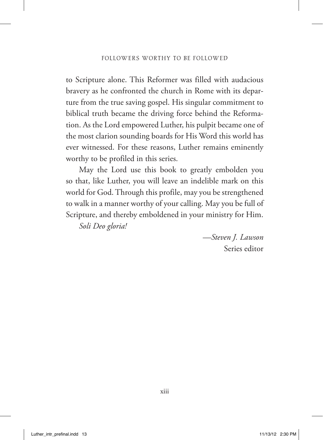#### Followers Worthy to be Followed

to Scripture alone. This Reformer was filled with audacious bravery as he confronted the church in Rome with its departure from the true saving gospel. His singular commitment to biblical truth became the driving force behind the Reformation. As the Lord empowered Luther, his pulpit became one of the most clarion sounding boards for His Word this world has ever witnessed. For these reasons, Luther remains eminently worthy to be profiled in this series.

May the Lord use this book to greatly embolden you so that, like Luther, you will leave an indelible mark on this world for God. Through this profile, may you be strengthened to walk in a manner worthy of your calling. May you be full of Scripture, and thereby emboldened in your ministry for Him.

*Soli Deo gloria!*

 —*Steven J. Lawson* Series editor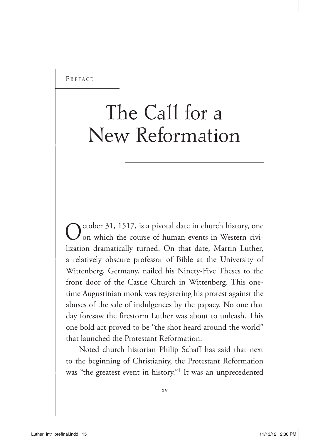**PREFACE** 

# The Call for a New Reformation

October 31, 1517, is a pivotal date in church history, one<br>Oon which the course of human events in Western civilization dramatically turned. On that date, Martin Luther, a relatively obscure professor of Bible at the University of Wittenberg, Germany, nailed his Ninety-Five Theses to the front door of the Castle Church in Wittenberg. This onetime Augustinian monk was registering his protest against the abuses of the sale of indulgences by the papacy. No one that day foresaw the firestorm Luther was about to unleash. This one bold act proved to be "the shot heard around the world" that launched the Protestant Reformation.

Noted church historian Philip Schaff has said that next to the beginning of Christianity, the Protestant Reformation was "the greatest event in history."<sup>1</sup> It was an unprecedented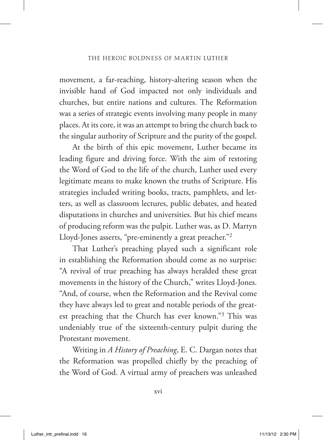THE HEROIC BOLDNESS OF MARTIN LUTHER

movement, a far-reaching, history-altering season when the invisible hand of God impacted not only individuals and churches, but entire nations and cultures. The Reformation was a series of strategic events involving many people in many places. At its core, it was an attempt to bring the church back to the singular authority of Scripture and the purity of the gospel.

At the birth of this epic movement, Luther became its leading figure and driving force. With the aim of restoring the Word of God to the life of the church, Luther used every legitimate means to make known the truths of Scripture. His strategies included writing books, tracts, pamphlets, and letters, as well as classroom lectures, public debates, and heated disputations in churches and universities. But his chief means of producing reform was the pulpit. Luther was, as D. Martyn Lloyd-Jones asserts, "pre-eminently a great preacher."2

That Luther's preaching played such a significant role in establishing the Reformation should come as no surprise: "A revival of true preaching has always heralded these great movements in the history of the Church," writes Lloyd-Jones. "And, of course, when the Reformation and the Revival come they have always led to great and notable periods of the greatest preaching that the Church has ever known."3 This was undeniably true of the sixteenth-century pulpit during the Protestant movement.

Writing in *A History of Preaching*, E. C. Dargan notes that the Reformation was propelled chiefly by the preaching of the Word of God. A virtual army of preachers was unleashed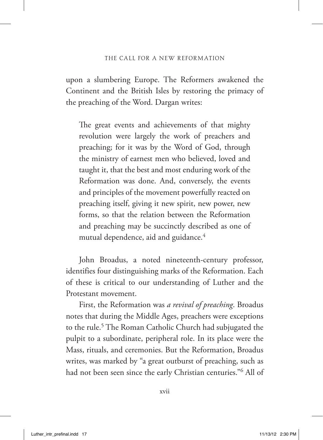#### THE CALL FOR A NEW REFORMATION

upon a slumbering Europe. The Reformers awakened the Continent and the British Isles by restoring the primacy of the preaching of the Word. Dargan writes:

The great events and achievements of that mighty revolution were largely the work of preachers and preaching; for it was by the Word of God, through the ministry of earnest men who believed, loved and taught it, that the best and most enduring work of the Reformation was done. And, conversely, the events and principles of the movement powerfully reacted on preaching itself, giving it new spirit, new power, new forms, so that the relation between the Reformation and preaching may be succinctly described as one of mutual dependence, aid and guidance.<sup>4</sup>

John Broadus, a noted nineteenth-century professor, identifies four distinguishing marks of the Reformation. Each of these is critical to our understanding of Luther and the Protestant movement.

First, the Reformation was *a revival of preaching*. Broadus notes that during the Middle Ages, preachers were exceptions to the rule.5 The Roman Catholic Church had subjugated the pulpit to a subordinate, peripheral role. In its place were the Mass, rituals, and ceremonies. But the Reformation, Broadus writes, was marked by "a great outburst of preaching, such as had not been seen since the early Christian centuries."6 All of

xvii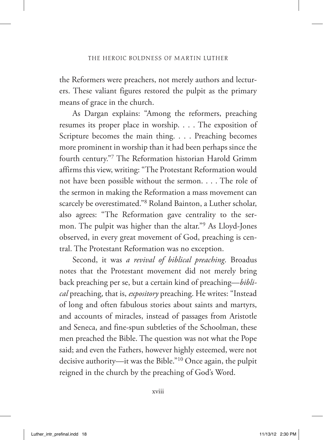the Reformers were preachers, not merely authors and lecturers. These valiant figures restored the pulpit as the primary means of grace in the church.

As Dargan explains: "Among the reformers, preaching resumes its proper place in worship. . . . The exposition of Scripture becomes the main thing. . . . Preaching becomes more prominent in worship than it had been perhaps since the fourth century."7 The Reformation historian Harold Grimm affirms this view, writing: "The Protestant Reformation would not have been possible without the sermon. . . . The role of the sermon in making the Reformation a mass movement can scarcely be overestimated."8 Roland Bainton, a Luther scholar, also agrees: "The Reformation gave centrality to the sermon. The pulpit was higher than the altar."9 As Lloyd-Jones observed, in every great movement of God, preaching is central. The Protestant Reformation was no exception.

Second, it was *a revival of biblical preaching*. Broadus notes that the Protestant movement did not merely bring back preaching per se, but a certain kind of preaching—*biblical* preaching, that is, *expository* preaching. He writes: "Instead of long and often fabulous stories about saints and martyrs, and accounts of miracles, instead of passages from Aristotle and Seneca, and fine-spun subtleties of the Schoolman, these men preached the Bible. The question was not what the Pope said; and even the Fathers, however highly esteemed, were not decisive authority—it was the Bible."10 Once again, the pulpit reigned in the church by the preaching of God's Word.

xviii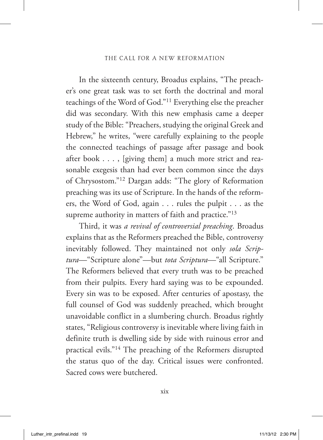#### THE CALL FOR A NEW REFORMATION

In the sixteenth century, Broadus explains, "The preacher's one great task was to set forth the doctrinal and moral teachings of the Word of God."11 Everything else the preacher did was secondary. With this new emphasis came a deeper study of the Bible: "Preachers, studying the original Greek and Hebrew," he writes, "were carefully explaining to the people the connected teachings of passage after passage and book after book . . . , [giving them] a much more strict and reasonable exegesis than had ever been common since the days of Chrysostom."12 Dargan adds: "The glory of Reformation preaching was its use of Scripture. In the hands of the reformers, the Word of God, again . . . rules the pulpit . . . as the supreme authority in matters of faith and practice."<sup>13</sup>

Third, it was *a revival of controversial preaching*. Broadus explains that as the Reformers preached the Bible, controversy inevitably followed. They maintained not only *sola Scriptura*—"Scripture alone"—but *tota Scriptura*—"all Scripture." The Reformers believed that every truth was to be preached from their pulpits. Every hard saying was to be expounded. Every sin was to be exposed. After centuries of apostasy, the full counsel of God was suddenly preached, which brought unavoidable conflict in a slumbering church. Broadus rightly states, "Religious controversy is inevitable where living faith in definite truth is dwelling side by side with ruinous error and practical evils."14 The preaching of the Reformers disrupted the status quo of the day. Critical issues were confronted. Sacred cows were butchered.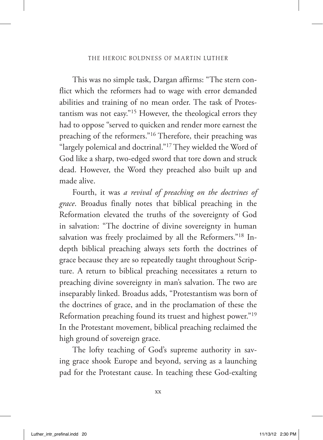#### THE HEROIC BOLDNESS OF MARTIN LUTHER

This was no simple task, Dargan affirms: "The stern conflict which the reformers had to wage with error demanded abilities and training of no mean order. The task of Protestantism was not easy."15 However, the theological errors they had to oppose "served to quicken and render more earnest the preaching of the reformers."16 Therefore, their preaching was "largely polemical and doctrinal."17 They wielded the Word of God like a sharp, two-edged sword that tore down and struck dead. However, the Word they preached also built up and made alive.

Fourth, it was *a revival of preaching on the doctrines of grace*. Broadus finally notes that biblical preaching in the Reformation elevated the truths of the sovereignty of God in salvation: "The doctrine of divine sovereignty in human salvation was freely proclaimed by all the Reformers."18 Indepth biblical preaching always sets forth the doctrines of grace because they are so repeatedly taught throughout Scripture. A return to biblical preaching necessitates a return to preaching divine sovereignty in man's salvation. The two are inseparably linked. Broadus adds, "Protestantism was born of the doctrines of grace, and in the proclamation of these the Reformation preaching found its truest and highest power."19 In the Protestant movement, biblical preaching reclaimed the high ground of sovereign grace.

The lofty teaching of God's supreme authority in saving grace shook Europe and beyond, serving as a launching pad for the Protestant cause. In teaching these God-exalting

xx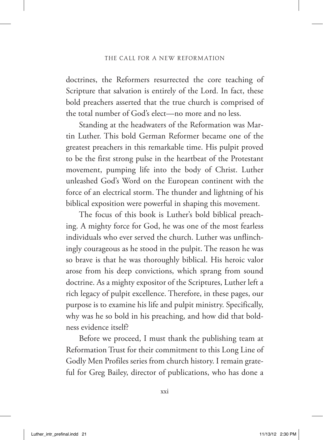doctrines, the Reformers resurrected the core teaching of Scripture that salvation is entirely of the Lord. In fact, these bold preachers asserted that the true church is comprised of the total number of God's elect—no more and no less.

Standing at the headwaters of the Reformation was Martin Luther. This bold German Reformer became one of the greatest preachers in this remarkable time. His pulpit proved to be the first strong pulse in the heartbeat of the Protestant movement, pumping life into the body of Christ. Luther unleashed God's Word on the European continent with the force of an electrical storm. The thunder and lightning of his biblical exposition were powerful in shaping this movement.

The focus of this book is Luther's bold biblical preaching. A mighty force for God, he was one of the most fearless individuals who ever served the church. Luther was unflinchingly courageous as he stood in the pulpit. The reason he was so brave is that he was thoroughly biblical. His heroic valor arose from his deep convictions, which sprang from sound doctrine. As a mighty expositor of the Scriptures, Luther left a rich legacy of pulpit excellence. Therefore, in these pages, our purpose is to examine his life and pulpit ministry. Specifically, why was he so bold in his preaching, and how did that boldness evidence itself?

Before we proceed, I must thank the publishing team at Reformation Trust for their commitment to this Long Line of Godly Men Profiles series from church history. I remain grateful for Greg Bailey, director of publications, who has done a

xxi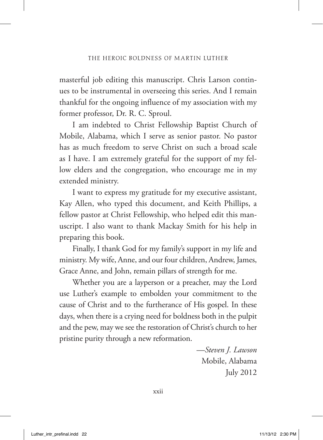masterful job editing this manuscript. Chris Larson continues to be instrumental in overseeing this series. And I remain thankful for the ongoing influence of my association with my former professor, Dr. R. C. Sproul.

I am indebted to Christ Fellowship Baptist Church of Mobile, Alabama, which I serve as senior pastor. No pastor has as much freedom to serve Christ on such a broad scale as I have. I am extremely grateful for the support of my fellow elders and the congregation, who encourage me in my extended ministry.

I want to express my gratitude for my executive assistant, Kay Allen, who typed this document, and Keith Phillips, a fellow pastor at Christ Fellowship, who helped edit this manuscript. I also want to thank Mackay Smith for his help in preparing this book.

Finally, I thank God for my family's support in my life and ministry. My wife, Anne, and our four children, Andrew, James, Grace Anne, and John, remain pillars of strength for me.

Whether you are a layperson or a preacher, may the Lord use Luther's example to embolden your commitment to the cause of Christ and to the furtherance of His gospel. In these days, when there is a crying need for boldness both in the pulpit and the pew, may we see the restoration of Christ's church to her pristine purity through a new reformation.

> —*Steven J. Lawson* Mobile, Alabama July 2012

xxii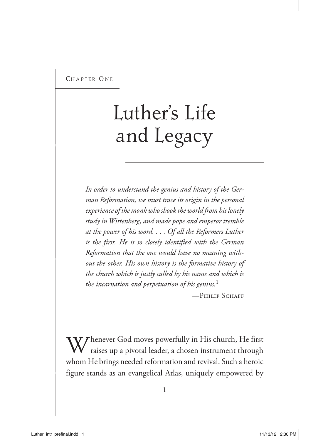CHAPTER ONE

# Luther's Life and Legacy

*In order to understand the genius and history of the German Reformation, we must trace its origin in the personal experience of the monk who shook the world from his lonely study in Wittenberg, and made pope and emperor tremble at the power of his word.... Of all the Reformers Luther is the first. He is so closely identified with the German Reformation that the one would have no meaning without the other. His own history is the formative history of the church which is justly called by his name and which is the incarnation and perpetuation of his genius.* 1

—Philip Schaff

Whenever God moves powerfully in His church, He first raises up a pivotal leader, a chosen instrument through whom He brings needed reformation and revival. Such a heroic figure stands as an evangelical Atlas, uniquely empowered by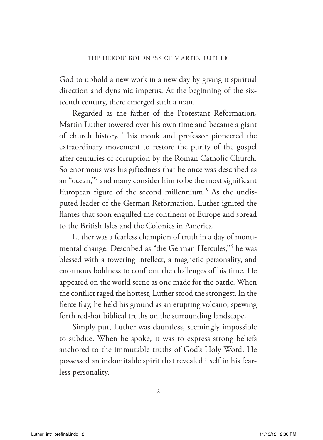God to uphold a new work in a new day by giving it spiritual direction and dynamic impetus. At the beginning of the sixteenth century, there emerged such a man.

Regarded as the father of the Protestant Reformation, Martin Luther towered over his own time and became a giant of church history. This monk and professor pioneered the extraordinary movement to restore the purity of the gospel after centuries of corruption by the Roman Catholic Church. So enormous was his giftedness that he once was described as an "ocean,"2 and many consider him to be the most significant European figure of the second millennium.<sup>3</sup> As the undisputed leader of the German Reformation, Luther ignited the flames that soon engulfed the continent of Europe and spread to the British Isles and the Colonies in America.

Luther was a fearless champion of truth in a day of monumental change. Described as "the German Hercules,"<sup>4</sup> he was blessed with a towering intellect, a magnetic personality, and enormous boldness to confront the challenges of his time. He appeared on the world scene as one made for the battle. When the conflict raged the hottest, Luther stood the strongest. In the fierce fray, he held his ground as an erupting volcano, spewing forth red-hot biblical truths on the surrounding landscape.

Simply put, Luther was dauntless, seemingly impossible to subdue. When he spoke, it was to express strong beliefs anchored to the immutable truths of God's Holy Word. He possessed an indomitable spirit that revealed itself in his fearless personality.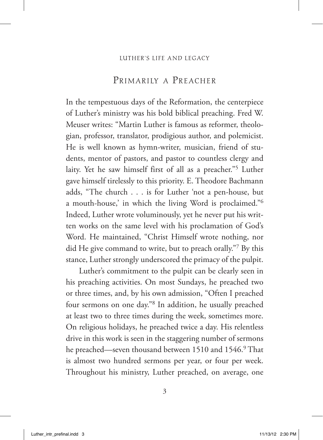#### LUTHER'S LIFE AND LEGACY

### PRIMARILY A PREACHER

In the tempestuous days of the Reformation, the centerpiece of Luther's ministry was his bold biblical preaching. Fred W. Meuser writes: "Martin Luther is famous as reformer, theologian, professor, translator, prodigious author, and polemicist. He is well known as hymn-writer, musician, friend of students, mentor of pastors, and pastor to countless clergy and laity. Yet he saw himself first of all as a preacher."5 Luther gave himself tirelessly to this priority. E. Theodore Bachmann adds, "The church . . . is for Luther 'not a pen-house, but a mouth-house,' in which the living Word is proclaimed."<sup>6</sup> Indeed, Luther wrote voluminously, yet he never put his written works on the same level with his proclamation of God's Word. He maintained, "Christ Himself wrote nothing, nor did He give command to write, but to preach orally."7 By this stance, Luther strongly underscored the primacy of the pulpit.

Luther's commitment to the pulpit can be clearly seen in his preaching activities. On most Sundays, he preached two or three times, and, by his own admission, "Often I preached four sermons on one day."8 In addition, he usually preached at least two to three times during the week, sometimes more. On religious holidays, he preached twice a day. His relentless drive in this work is seen in the staggering number of sermons he preached—seven thousand between 1510 and 1546.9 That is almost two hundred sermons per year, or four per week. Throughout his ministry, Luther preached, on average, one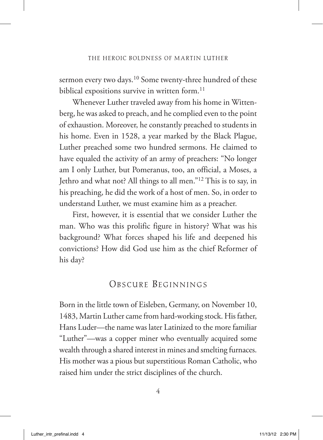sermon every two days.<sup>10</sup> Some twenty-three hundred of these biblical expositions survive in written form.<sup>11</sup>

Whenever Luther traveled away from his home in Wittenberg, he was asked to preach, and he complied even to the point of exhaustion. Moreover, he constantly preached to students in his home. Even in 1528, a year marked by the Black Plague, Luther preached some two hundred sermons. He claimed to have equaled the activity of an army of preachers: "No longer am I only Luther, but Pomeranus, too, an official, a Moses, a Jethro and what not? All things to all men."12 This is to say, in his preaching, he did the work of a host of men. So, in order to understand Luther, we must examine him as a preacher.

First, however, it is essential that we consider Luther the man. Who was this prolific figure in history? What was his background? What forces shaped his life and deepened his convictions? How did God use him as the chief Reformer of his day?

# Obscure Beginnings

Born in the little town of Eisleben, Germany, on November 10, 1483, Martin Luther came from hard-working stock. His father, Hans Luder—the name was later Latinized to the more familiar "Luther"—was a copper miner who eventually acquired some wealth through a shared interest in mines and smelting furnaces. His mother was a pious but superstitious Roman Catholic, who raised him under the strict disciplines of the church.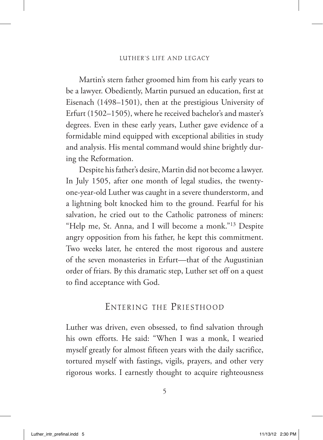Martin's stern father groomed him from his early years to be a lawyer. Obediently, Martin pursued an education, first at Eisenach (1498–1501), then at the prestigious University of Erfurt (1502–1505), where he received bachelor's and master's degrees. Even in these early years, Luther gave evidence of a formidable mind equipped with exceptional abilities in study and analysis. His mental command would shine brightly during the Reformation.

Despite his father's desire, Martin did not become a lawyer. In July 1505, after one month of legal studies, the twentyone-year-old Luther was caught in a severe thunderstorm, and a lightning bolt knocked him to the ground. Fearful for his salvation, he cried out to the Catholic patroness of miners: "Help me, St. Anna, and I will become a monk."13 Despite angry opposition from his father, he kept this commitment. Two weeks later, he entered the most rigorous and austere of the seven monasteries in Erfurt—that of the Augustinian order of friars. By this dramatic step, Luther set off on a quest to find acceptance with God.

### ENTERING THE PRIESTHOOD

Luther was driven, even obsessed, to find salvation through his own efforts. He said: "When I was a monk, I wearied myself greatly for almost fifteen years with the daily sacrifice, tortured myself with fastings, vigils, prayers, and other very rigorous works. I earnestly thought to acquire righteousness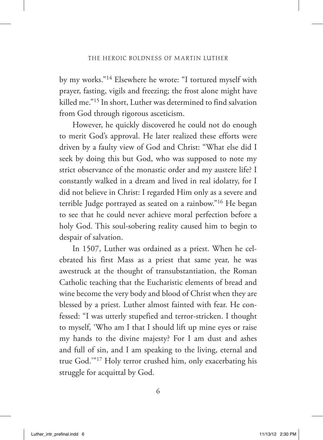by my works."14 Elsewhere he wrote: "I tortured myself with prayer, fasting, vigils and freezing; the frost alone might have killed me."15 In short, Luther was determined to find salvation from God through rigorous asceticism.

However, he quickly discovered he could not do enough to merit God's approval. He later realized these efforts were driven by a faulty view of God and Christ: "What else did I seek by doing this but God, who was supposed to note my strict observance of the monastic order and my austere life? I constantly walked in a dream and lived in real idolatry, for I did not believe in Christ: I regarded Him only as a severe and terrible Judge portrayed as seated on a rainbow."16 He began to see that he could never achieve moral perfection before a holy God. This soul-sobering reality caused him to begin to despair of salvation.

In 1507, Luther was ordained as a priest. When he celebrated his first Mass as a priest that same year, he was awestruck at the thought of transubstantiation, the Roman Catholic teaching that the Eucharistic elements of bread and wine become the very body and blood of Christ when they are blessed by a priest. Luther almost fainted with fear. He confessed: "I was utterly stupefied and terror-stricken. I thought to myself, 'Who am I that I should lift up mine eyes or raise my hands to the divine majesty? For I am dust and ashes and full of sin, and I am speaking to the living, eternal and true God.'"17 Holy terror crushed him, only exacerbating his struggle for acquittal by God.

6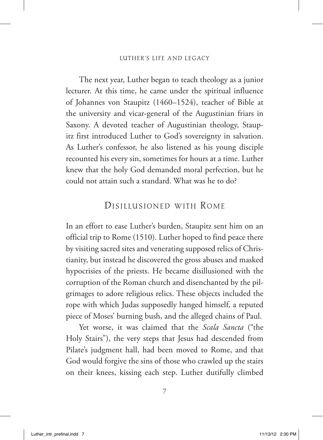The next year, Luther began to teach theology as a junior lecturer. At this time, he came under the spiritual influence of Johannes von Staupitz (1460–1524), teacher of Bible at the university and vicar-general of the Augustinian friars in Saxony. A devoted teacher of Augustinian theology, Staupitz first introduced Luther to God's sovereignty in salvation. As Luther's confessor, he also listened as his young disciple recounted his every sin, sometimes for hours at a time. Luther knew that the holy God demanded moral perfection, but he could not attain such a standard. What was he to do?

### DISILLUSIONED WITH ROME

In an effort to ease Luther's burden, Staupitz sent him on an official trip to Rome (1510). Luther hoped to find peace there by visiting sacred sites and venerating supposed relics of Christianity, but instead he discovered the gross abuses and masked hypocrisies of the priests. He became disillusioned with the corruption of the Roman church and disenchanted by the pilgrimages to adore religious relics. These objects included the rope with which Judas supposedly hanged himself, a reputed piece of Moses' burning bush, and the alleged chains of Paul.

Yet worse, it was claimed that the *Scala Sancta* ("the Holy Stairs"), the very steps that Jesus had descended from Pilate's judgment hall, had been moved to Rome, and that God would forgive the sins of those who crawled up the stairs on their knees, kissing each step. Luther dutifully climbed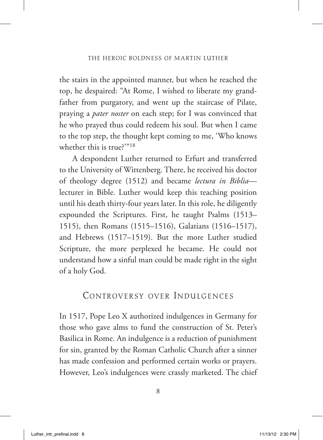THE HEROIC BOLDNESS OF MARTIN LUTHER

the stairs in the appointed manner, but when he reached the top, he despaired: "At Rome, I wished to liberate my grandfather from purgatory, and went up the staircase of Pilate, praying a *pater noster* on each step; for I was convinced that he who prayed thus could redeem his soul. But when I came to the top step, the thought kept coming to me, 'Who knows whether this is true?"<sup>18</sup>

A despondent Luther returned to Erfurt and transferred to the University of Wittenberg. There, he received his doctor of theology degree (1512) and became *lectura in Biblia* lecturer in Bible. Luther would keep this teaching position until his death thirty-four years later. In this role, he diligently expounded the Scriptures. First, he taught Psalms (1513– 1515), then Romans (1515–1516), Galatians (1516–1517), and Hebrews (1517–1519). But the more Luther studied Scripture, the more perplexed he became. He could not understand how a sinful man could be made right in the sight of a holy God.

### CONTROVERSY OVER INDULGENCES

In 1517, Pope Leo X authorized indulgences in Germany for those who gave alms to fund the construction of St. Peter's Basilica in Rome. An indulgence is a reduction of punishment for sin, granted by the Roman Catholic Church after a sinner has made confession and performed certain works or prayers. However, Leo's indulgences were crassly marketed. The chief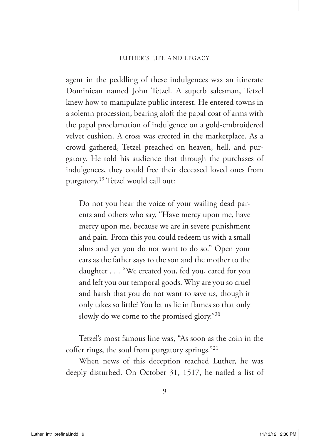#### LUTHER'S LIFE AND LEGACY

agent in the peddling of these indulgences was an itinerate Dominican named John Tetzel. A superb salesman, Tetzel knew how to manipulate public interest. He entered towns in a solemn procession, bearing aloft the papal coat of arms with the papal proclamation of indulgence on a gold-embroidered velvet cushion. A cross was erected in the marketplace. As a crowd gathered, Tetzel preached on heaven, hell, and purgatory. He told his audience that through the purchases of indulgences, they could free their deceased loved ones from purgatory.19 Tetzel would call out:

Do not you hear the voice of your wailing dead parents and others who say, "Have mercy upon me, have mercy upon me, because we are in severe punishment and pain. From this you could redeem us with a small alms and yet you do not want to do so." Open your ears as the father says to the son and the mother to the daughter . . . "We created you, fed you, cared for you and left you our temporal goods. Why are you so cruel and harsh that you do not want to save us, though it only takes so little? You let us lie in flames so that only slowly do we come to the promised glory."20

Tetzel's most famous line was, "As soon as the coin in the coffer rings, the soul from purgatory springs."21

When news of this deception reached Luther, he was deeply disturbed. On October 31, 1517, he nailed a list of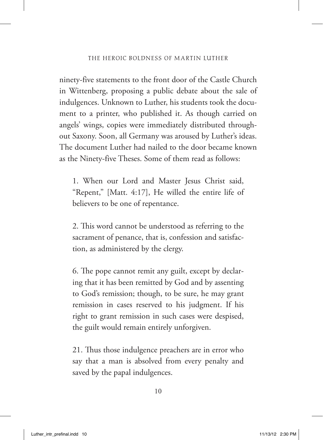ninety-five statements to the front door of the Castle Church in Wittenberg, proposing a public debate about the sale of indulgences. Unknown to Luther, his students took the document to a printer, who published it. As though carried on angels' wings, copies were immediately distributed throughout Saxony. Soon, all Germany was aroused by Luther's ideas. The document Luther had nailed to the door became known as the Ninety-five Theses. Some of them read as follows:

1. When our Lord and Master Jesus Christ said, "Repent," [Matt. 4:17], He willed the entire life of believers to be one of repentance.

2. This word cannot be understood as referring to the sacrament of penance, that is, confession and satisfaction, as administered by the clergy.

6. The pope cannot remit any guilt, except by declaring that it has been remitted by God and by assenting to God's remission; though, to be sure, he may grant remission in cases reserved to his judgment. If his right to grant remission in such cases were despised, the guilt would remain entirely unforgiven.

21. Thus those indulgence preachers are in error who say that a man is absolved from every penalty and saved by the papal indulgences.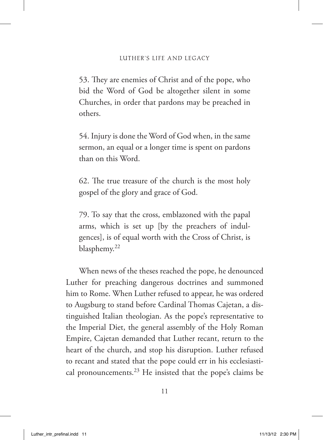53. They are enemies of Christ and of the pope, who bid the Word of God be altogether silent in some Churches, in order that pardons may be preached in others.

54. Injury is done the Word of God when, in the same sermon, an equal or a longer time is spent on pardons than on this Word.

62. The true treasure of the church is the most holy gospel of the glory and grace of God.

79. To say that the cross, emblazoned with the papal arms, which is set up [by the preachers of indulgences], is of equal worth with the Cross of Christ, is blasphemy.22

When news of the theses reached the pope, he denounced Luther for preaching dangerous doctrines and summoned him to Rome. When Luther refused to appear, he was ordered to Augsburg to stand before Cardinal Thomas Cajetan, a distinguished Italian theologian. As the pope's representative to the Imperial Diet, the general assembly of the Holy Roman Empire, Cajetan demanded that Luther recant, return to the heart of the church, and stop his disruption. Luther refused to recant and stated that the pope could err in his ecclesiastical pronouncements.<sup>23</sup> He insisted that the pope's claims be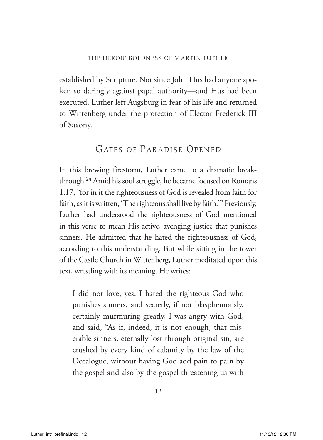#### THE HEROIC BOLDNESS OF MARTIN LUTHER

established by Scripture. Not since John Hus had anyone spoken so daringly against papal authority—and Hus had been executed. Luther left Augsburg in fear of his life and returned to Wittenberg under the protection of Elector Frederick III of Saxony.

# GATES OF PARADISE OPENED

In this brewing firestorm, Luther came to a dramatic breakthrough.24 Amid his soul struggle, he became focused on Romans 1:17, "for in it the righteousness of God is revealed from faith for faith, as it is written, 'The righteous shall live by faith.'" Previously, Luther had understood the righteousness of God mentioned in this verse to mean His active, avenging justice that punishes sinners. He admitted that he hated the righteousness of God, according to this understanding. But while sitting in the tower of the Castle Church in Wittenberg, Luther meditated upon this text, wrestling with its meaning. He writes:

I did not love, yes, I hated the righteous God who punishes sinners, and secretly, if not blasphemously, certainly murmuring greatly, I was angry with God, and said, "As if, indeed, it is not enough, that miserable sinners, eternally lost through original sin, are crushed by every kind of calamity by the law of the Decalogue, without having God add pain to pain by the gospel and also by the gospel threatening us with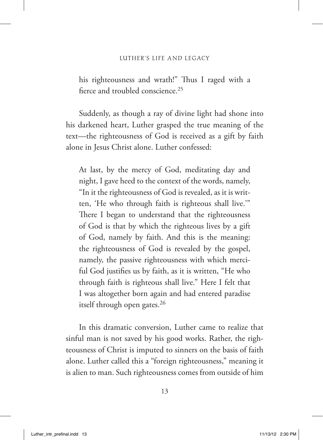his righteousness and wrath!" Thus I raged with a fierce and troubled conscience.<sup>25</sup>

Suddenly, as though a ray of divine light had shone into his darkened heart, Luther grasped the true meaning of the text—the righteousness of God is received as a gift by faith alone in Jesus Christ alone. Luther confessed:

At last, by the mercy of God, meditating day and night, I gave heed to the context of the words, namely, "In it the righteousness of God is revealed, as it is written, 'He who through faith is righteous shall live.'" There I began to understand that the righteousness of God is that by which the righteous lives by a gift of God, namely by faith. And this is the meaning: the righteousness of God is revealed by the gospel, namely, the passive righteousness with which merciful God justifies us by faith, as it is written, "He who through faith is righteous shall live." Here I felt that I was altogether born again and had entered paradise itself through open gates.<sup>26</sup>

In this dramatic conversion, Luther came to realize that sinful man is not saved by his good works. Rather, the righteousness of Christ is imputed to sinners on the basis of faith alone. Luther called this a "foreign righteousness," meaning it is alien to man. Such righteousness comes from outside of him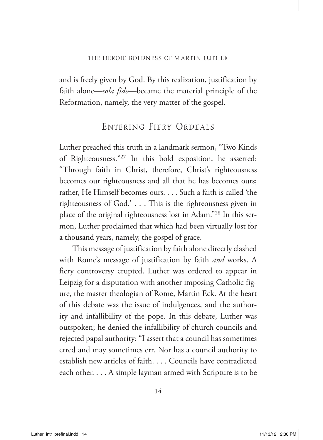#### THE HEROIC BOLDNESS OF MARTIN LUTHER

and is freely given by God. By this realization, justification by faith alone—*sola fide*—became the material principle of the Reformation, namely, the very matter of the gospel.

# ENTERING FIERY ORDEALS

Luther preached this truth in a landmark sermon, "Two Kinds of Righteousness."27 In this bold exposition, he asserted: "Through faith in Christ, therefore, Christ's righteousness becomes our righteousness and all that he has becomes ours; rather, He Himself becomes ours. . . . Such a faith is called 'the righteousness of God.' . . . This is the righteousness given in place of the original righteousness lost in Adam."28 In this sermon, Luther proclaimed that which had been virtually lost for a thousand years, namely, the gospel of grace.

This message of justification by faith alone directly clashed with Rome's message of justification by faith *and* works. A fiery controversy erupted. Luther was ordered to appear in Leipzig for a disputation with another imposing Catholic figure, the master theologian of Rome, Martin Eck. At the heart of this debate was the issue of indulgences, and the authority and infallibility of the pope. In this debate, Luther was outspoken; he denied the infallibility of church councils and rejected papal authority: "I assert that a council has sometimes erred and may sometimes err. Nor has a council authority to establish new articles of faith. . . . Councils have contradicted each other. . . . A simple layman armed with Scripture is to be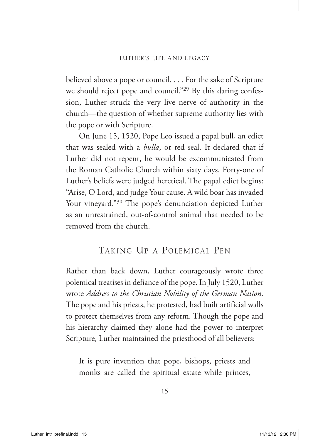believed above a pope or council. . . . For the sake of Scripture we should reject pope and council."<sup>29</sup> By this daring confession, Luther struck the very live nerve of authority in the church—the question of whether supreme authority lies with the pope or with Scripture.

On June 15, 1520, Pope Leo issued a papal bull, an edict that was sealed with a *bulla*, or red seal. It declared that if Luther did not repent, he would be excommunicated from the Roman Catholic Church within sixty days. Forty-one of Luther's beliefs were judged heretical. The papal edict begins: "Arise, O Lord, and judge Your cause. A wild boar has invaded Your vineyard."<sup>30</sup> The pope's denunciation depicted Luther as an unrestrained, out-of-control animal that needed to be removed from the church.

# TAKING UP A POLEMICAL PEN

Rather than back down, Luther courageously wrote three polemical treatises in defiance of the pope. In July 1520, Luther wrote *Address to the Christian Nobility of the German Nation*. The pope and his priests, he protested, had built artificial walls to protect themselves from any reform. Though the pope and his hierarchy claimed they alone had the power to interpret Scripture, Luther maintained the priesthood of all believers:

It is pure invention that pope, bishops, priests and monks are called the spiritual estate while princes,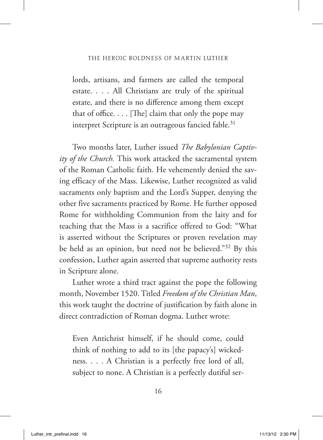lords, artisans, and farmers are called the temporal estate. . . . All Christians are truly of the spiritual estate, and there is no difference among them except that of office.  $\ldots$  [The] claim that only the pope may interpret Scripture is an outrageous fancied fable.<sup>31</sup>

Two months later, Luther issued *The Babylonian Captivity of the Church.*This work attacked the sacramental system of the Roman Catholic faith. He vehemently denied the saving efficacy of the Mass. Likewise, Luther recognized as valid sacraments only baptism and the Lord's Supper, denying the other five sacraments practiced by Rome. He further opposed Rome for withholding Communion from the laity and for teaching that the Mass is a sacrifice offered to God: "What is asserted without the Scriptures or proven revelation may be held as an opinion, but need not be believed."32 By this confession, Luther again asserted that supreme authority rests in Scripture alone.

Luther wrote a third tract against the pope the following month, November 1520. Titled *Freedom of the Christian Man*, this work taught the doctrine of justification by faith alone in direct contradiction of Roman dogma. Luther wrote:

Even Antichrist himself, if he should come, could think of nothing to add to its [the papacy's] wickedness. . . . A Christian is a perfectly free lord of all, subject to none. A Christian is a perfectly dutiful ser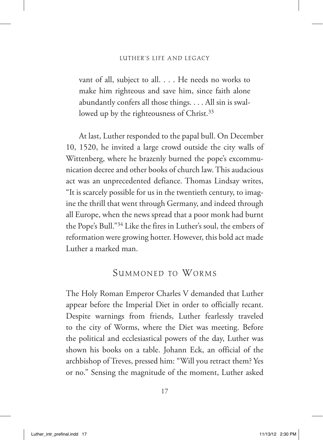vant of all, subject to all. . . . He needs no works to make him righteous and save him, since faith alone abundantly confers all those things. . . . All sin is swallowed up by the righteousness of Christ.<sup>33</sup>

At last, Luther responded to the papal bull. On December 10, 1520, he invited a large crowd outside the city walls of Wittenberg, where he brazenly burned the pope's excommunication decree and other books of church law. This audacious act was an unprecedented defiance. Thomas Lindsay writes, "It is scarcely possible for us in the twentieth century, to imagine the thrill that went through Germany, and indeed through all Europe, when the news spread that a poor monk had burnt the Pope's Bull."34 Like the fires in Luther's soul, the embers of reformation were growing hotter. However, this bold act made Luther a marked man.

# SUMMONED TO WORMS

The Holy Roman Emperor Charles V demanded that Luther appear before the Imperial Diet in order to officially recant. Despite warnings from friends, Luther fearlessly traveled to the city of Worms, where the Diet was meeting. Before the political and ecclesiastical powers of the day, Luther was shown his books on a table. Johann Eck, an official of the archbishop of Treves, pressed him: "Will you retract them? Yes or no." Sensing the magnitude of the moment, Luther asked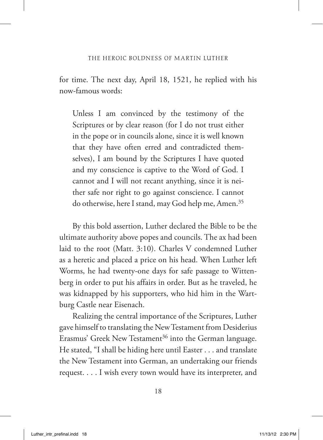#### THE HEROIC BOLDNESS OF MARTIN LUTHER

for time. The next day, April 18, 1521, he replied with his now-famous words:

Unless I am convinced by the testimony of the Scriptures or by clear reason (for I do not trust either in the pope or in councils alone, since it is well known that they have often erred and contradicted themselves), I am bound by the Scriptures I have quoted and my conscience is captive to the Word of God. I cannot and I will not recant anything, since it is neither safe nor right to go against conscience. I cannot do otherwise, here I stand, may God help me, Amen.<sup>35</sup>

By this bold assertion, Luther declared the Bible to be the ultimate authority above popes and councils. The ax had been laid to the root (Matt. 3:10). Charles V condemned Luther as a heretic and placed a price on his head. When Luther left Worms, he had twenty-one days for safe passage to Wittenberg in order to put his affairs in order. But as he traveled, he was kidnapped by his supporters, who hid him in the Wartburg Castle near Eisenach.

Realizing the central importance of the Scriptures, Luther gave himself to translating the New Testament from Desiderius Erasmus' Greek New Testament<sup>36</sup> into the German language. He stated, "I shall be hiding here until Easter . . . and translate the New Testament into German, an undertaking our friends request. . . . I wish every town would have its interpreter, and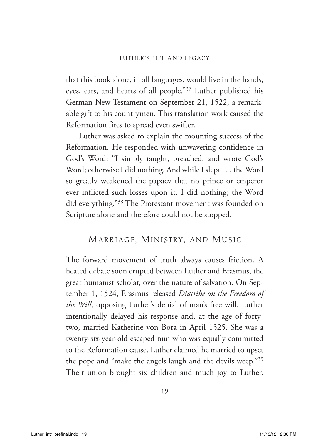that this book alone, in all languages, would live in the hands, eyes, ears, and hearts of all people."37 Luther published his German New Testament on September 21, 1522, a remarkable gift to his countrymen. This translation work caused the Reformation fires to spread even swifter.

Luther was asked to explain the mounting success of the Reformation. He responded with unwavering confidence in God's Word: "I simply taught, preached, and wrote God's Word; otherwise I did nothing. And while I slept . . . the Word so greatly weakened the papacy that no prince or emperor ever inflicted such losses upon it. I did nothing; the Word did everything."38 The Protestant movement was founded on Scripture alone and therefore could not be stopped.

### MARRIAGE, MINISTRY, AND MUSIC

The forward movement of truth always causes friction. A heated debate soon erupted between Luther and Erasmus, the great humanist scholar, over the nature of salvation. On September 1, 1524, Erasmus released *Diatribe on the Freedom of the Will*, opposing Luther's denial of man's free will. Luther intentionally delayed his response and, at the age of fortytwo, married Katherine von Bora in April 1525. She was a twenty-six-year-old escaped nun who was equally committed to the Reformation cause. Luther claimed he married to upset the pope and "make the angels laugh and the devils weep."39 Their union brought six children and much joy to Luther.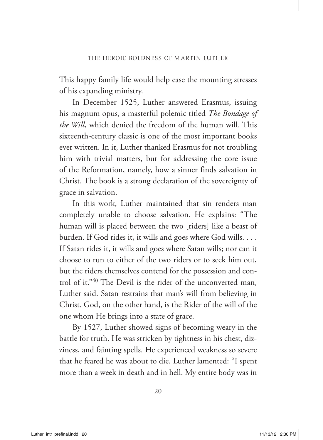This happy family life would help ease the mounting stresses of his expanding ministry.

In December 1525, Luther answered Erasmus, issuing his magnum opus, a masterful polemic titled *The Bondage of the Will*, which denied the freedom of the human will. This sixteenth-century classic is one of the most important books ever written. In it, Luther thanked Erasmus for not troubling him with trivial matters, but for addressing the core issue of the Reformation, namely, how a sinner finds salvation in Christ. The book is a strong declaration of the sovereignty of grace in salvation.

In this work, Luther maintained that sin renders man completely unable to choose salvation. He explains: "The human will is placed between the two [riders] like a beast of burden. If God rides it, it wills and goes where God wills. . . . If Satan rides it, it wills and goes where Satan wills; nor can it choose to run to either of the two riders or to seek him out, but the riders themselves contend for the possession and control of it."40 The Devil is the rider of the unconverted man, Luther said. Satan restrains that man's will from believing in Christ. God, on the other hand, is the Rider of the will of the one whom He brings into a state of grace.

By 1527, Luther showed signs of becoming weary in the battle for truth. He was stricken by tightness in his chest, dizziness, and fainting spells. He experienced weakness so severe that he feared he was about to die. Luther lamented: "I spent more than a week in death and in hell. My entire body was in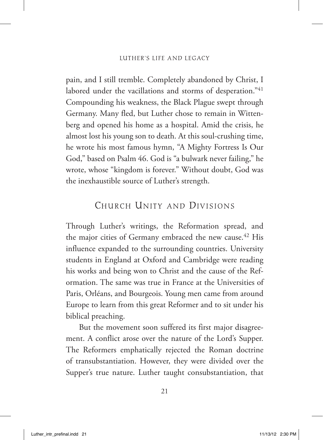pain, and I still tremble. Completely abandoned by Christ, I labored under the vacillations and storms of desperation."<sup>41</sup> Compounding his weakness, the Black Plague swept through Germany. Many fled, but Luther chose to remain in Wittenberg and opened his home as a hospital. Amid the crisis, he almost lost his young son to death. At this soul-crushing time, he wrote his most famous hymn, "A Mighty Fortress Is Our God," based on Psalm 46. God is "a bulwark never failing," he wrote, whose "kingdom is forever." Without doubt, God was the inexhaustible source of Luther's strength.

# CHURCH UNITY AND DIVISIONS

Through Luther's writings, the Reformation spread, and the major cities of Germany embraced the new cause.<sup>42</sup> His influence expanded to the surrounding countries. University students in England at Oxford and Cambridge were reading his works and being won to Christ and the cause of the Reformation. The same was true in France at the Universities of Paris, Orléans, and Bourgeois. Young men came from around Europe to learn from this great Reformer and to sit under his biblical preaching.

But the movement soon suffered its first major disagreement. A conflict arose over the nature of the Lord's Supper. The Reformers emphatically rejected the Roman doctrine of transubstantiation. However, they were divided over the Supper's true nature. Luther taught consubstantiation, that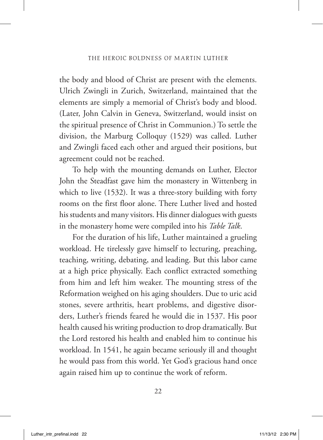#### THE HEROIC BOLDNESS OF MARTIN LUTHER

the body and blood of Christ are present with the elements. Ulrich Zwingli in Zurich, Switzerland, maintained that the elements are simply a memorial of Christ's body and blood. (Later, John Calvin in Geneva, Switzerland, would insist on the spiritual presence of Christ in Communion.) To settle the division, the Marburg Colloquy (1529) was called. Luther and Zwingli faced each other and argued their positions, but agreement could not be reached.

To help with the mounting demands on Luther, Elector John the Steadfast gave him the monastery in Wittenberg in which to live (1532). It was a three-story building with forty rooms on the first floor alone. There Luther lived and hosted his students and many visitors. His dinner dialogues with guests in the monastery home were compiled into his *Table Talk*.

For the duration of his life, Luther maintained a grueling workload. He tirelessly gave himself to lecturing, preaching, teaching, writing, debating, and leading. But this labor came at a high price physically. Each conflict extracted something from him and left him weaker. The mounting stress of the Reformation weighed on his aging shoulders. Due to uric acid stones, severe arthritis, heart problems, and digestive disorders, Luther's friends feared he would die in 1537. His poor health caused his writing production to drop dramatically. But the Lord restored his health and enabled him to continue his workload. In 1541, he again became seriously ill and thought he would pass from this world. Yet God's gracious hand once again raised him up to continue the work of reform.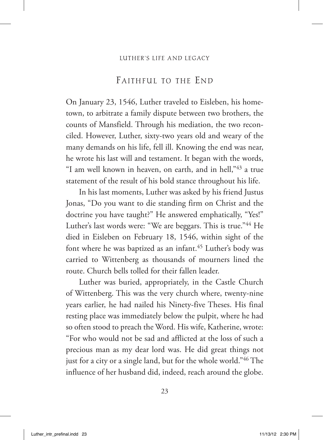#### LUTHER'S LIFE AND LEGACY

### FAITHFUL TO THE END

On January 23, 1546, Luther traveled to Eisleben, his hometown, to arbitrate a family dispute between two brothers, the counts of Mansfield. Through his mediation, the two reconciled. However, Luther, sixty-two years old and weary of the many demands on his life, fell ill. Knowing the end was near, he wrote his last will and testament. It began with the words, "I am well known in heaven, on earth, and in hell,"43 a true statement of the result of his bold stance throughout his life.

In his last moments, Luther was asked by his friend Justus Jonas, "Do you want to die standing firm on Christ and the doctrine you have taught?" He answered emphatically, "Yes!" Luther's last words were: "We are beggars. This is true."<sup>44</sup> He died in Eisleben on February 18, 1546, within sight of the font where he was baptized as an infant.<sup>45</sup> Luther's body was carried to Wittenberg as thousands of mourners lined the route. Church bells tolled for their fallen leader.

Luther was buried, appropriately, in the Castle Church of Wittenberg. This was the very church where, twenty-nine years earlier, he had nailed his Ninety-five Theses. His final resting place was immediately below the pulpit, where he had so often stood to preach the Word. His wife, Katherine, wrote: "For who would not be sad and afflicted at the loss of such a precious man as my dear lord was. He did great things not just for a city or a single land, but for the whole world."46 The influence of her husband did, indeed, reach around the globe.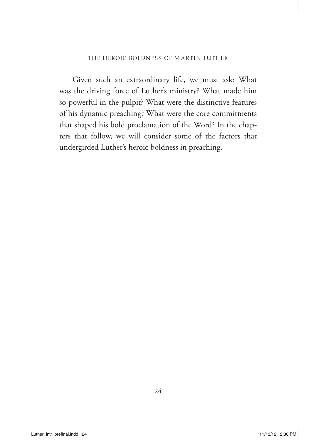#### THE HEROIC BOLDNESS OF MARTIN LUTHER

Given such an extraordinary life, we must ask: What was the driving force of Luther's ministry? What made him so powerful in the pulpit? What were the distinctive features of his dynamic preaching? What were the core commitments that shaped his bold proclamation of the Word? In the chapters that follow, we will consider some of the factors that undergirded Luther's heroic boldness in preaching.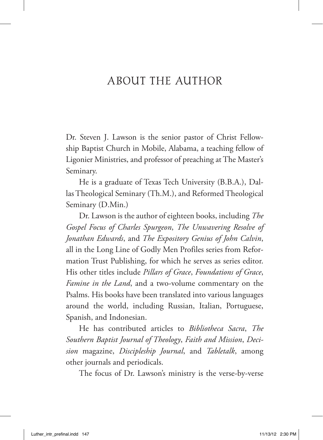# ABOUT THE AUTHOR

Dr. Steven J. Lawson is the senior pastor of Christ Fellowship Baptist Church in Mobile, Alabama, a teaching fellow of Ligonier Ministries, and professor of preaching at The Master's Seminary.

He is a graduate of Texas Tech University (B.B.A.), Dallas Theological Seminary (Th.M.), and Reformed Theological Seminary (D.Min.)

Dr. Lawson is the author of eighteen books, including *The Gospel Focus of Charles Spurgeon*, *The Unwavering Resolve of Jonathan Edwards*, and *The Expository Genius of John Calvin*, all in the Long Line of Godly Men Profiles series from Reformation Trust Publishing, for which he serves as series editor. His other titles include *Pillars of Grace*, *Foundations of Grace*, *Famine in the Land*, and a two-volume commentary on the Psalms. His books have been translated into various languages around the world, including Russian, Italian, Portuguese, Spanish, and Indonesian.

He has contributed articles to *Bibliotheca Sacra*, *The Southern Baptist Journal of Theology*, *Faith and Mission*, *Decision* magazine, *Discipleship Journal*, and *Tabletalk*, among other journals and periodicals.

The focus of Dr. Lawson's ministry is the verse-by-verse